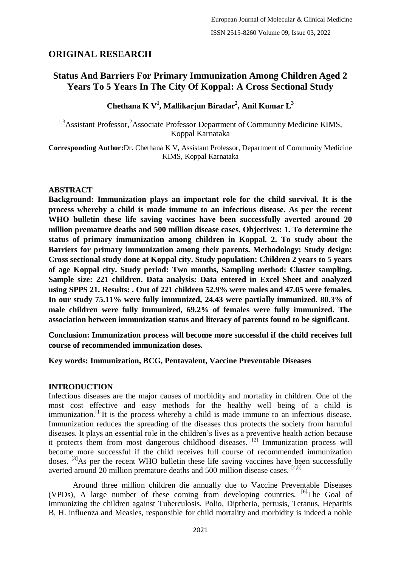## **ORIGINAL RESEARCH**

## **Status And Barriers For Primary Immunization Among Children Aged 2 Years To 5 Years In The City Of Koppal: A Cross Sectional Study**

### **Chethana K V<sup>1</sup> , Mallikarjun Biradar<sup>2</sup> , Anil Kumar L<sup>3</sup>**

<sup>1,3</sup>Assistant Professor,<sup>2</sup>Associate Professor Department of Community Medicine KIMS, Koppal Karnataka

**Corresponding Author:**Dr. Chethana K V, Assistant Professor, Department of Community Medicine KIMS, Koppal Karnataka

### **ABSTRACT**

**Background: Immunization plays an important role for the child survival. It is the process whereby a child is made immune to an infectious disease. As per the recent WHO bulletin these life saving vaccines have been successfully averted around 20 million premature deaths and 500 million disease cases. Objectives: 1. To determine the status of primary immunization among children in Koppal. 2. To study about the Barriers for primary immunization among their parents. Methodology: Study design: Cross sectional study done at Koppal city. Study population: Children 2 years to 5 years of age Koppal city. Study period: Two months, Sampling method: Cluster sampling. Sample size: 221 children. Data analysis: Data entered in Excel Sheet and analyzed using SPPS 21. Results: . Out of 221 children 52.9% were males and 47.05 were females. In our study 75.11% were fully immunized, 24.43 were partially immunized. 80.3% of male children were fully immunized, 69.2% of females were fully immunized. The association between immunization status and literacy of parents found to be significant.** 

**Conclusion: Immunization process will become more successful if the child receives full course of recommended immunization doses.**

### **Key words: Immunization, BCG, Pentavalent, Vaccine Preventable Diseases**

### **INTRODUCTION**

Infectious diseases are the major causes of morbidity and mortality in children. One of the most cost effective and easy methods for the healthy well being of a child is immunization.<sup>[1]</sup>It is the process whereby a child is made immune to an infectious disease. Immunization reduces the spreading of the diseases thus protects the society from harmful diseases. It plays an essential role in the children's lives as a preventive health action because it protects them from most dangerous childhood diseases.<sup>[2]</sup> Immunization process will become more successful if the child receives full course of recommended immunization doses. [3]As per the recent WHO bulletin these life saving vaccines have been successfully averted around 20 million premature deaths and 500 million disease cases. [4,5]

Around three million children die annually due to Vaccine Preventable Diseases (VPDs), A large number of these coming from developing countries. <sup>[6]</sup>The Goal of immunizing the children against Tuberculosis, Polio, Diptheria, pertusis, Tetanus, Hepatitis B, H. influenza and Measles, responsible for child mortality and morbidity is indeed a noble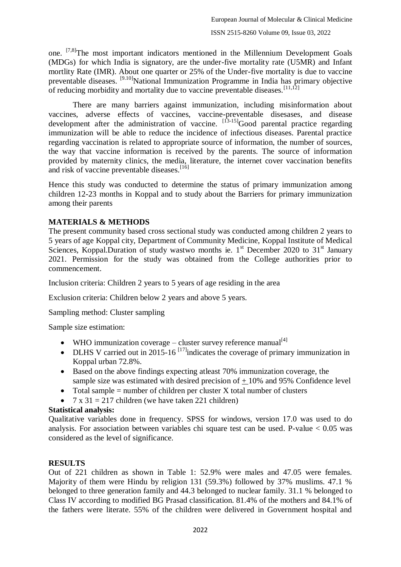one. <sup>[7,8]</sup>The most important indicators mentioned in the Millennium Development Goals (MDGs) for which India is signatory, are the under-five mortality rate (U5MR) and Infant mortlity Rate (IMR). About one quarter or 25% of the Under-five mortality is due to vaccine preventable diseases. <sup>[9.10]</sup>National Immunization Programme in India has primary objective of reducing morbidity and mortality due to vaccine preventable diseases.  $\left[11,1\right]$ 

There are many barriers against immunization, including misinformation about vaccines, adverse effects of vaccines, vaccine-preventable disesases, and disease development after the administration of vaccine. [13-15] Good parental practice regarding immunization will be able to reduce the incidence of infectious diseases. Parental practice regarding vaccination is related to appropriate source of information, the number of sources, the way that vaccine information is received by the parents. The source of information provided by maternity clinics, the media, literature, the internet cover vaccination benefits and risk of vaccine preventable diseases.<sup>[16]</sup>

Hence this study was conducted to determine the status of primary immunization among children 12-23 months in Koppal and to study about the Barriers for primary immunization among their parents

### **MATERIALS & METHODS**

The present community based cross sectional study was conducted among children 2 years to 5 years of age Koppal city, Department of Community Medicine, Koppal Institute of Medical Sciences, Koppal.Duration of study wastwo months ie.  $1<sup>st</sup>$  December 2020 to 31 $<sup>st</sup>$  January</sup> 2021. Permission for the study was obtained from the College authorities prior to commencement.

Inclusion criteria: Children 2 years to 5 years of age residing in the area

Exclusion criteria: Children below 2 years and above 5 years.

Sampling method: Cluster sampling

Sample size estimation:

- $\bullet$  WHO immunization coverage cluster survey reference manual<sup>[4]</sup>
- DLHS V carried out in 2015-16<sup>[17]</sup>indicates the coverage of primary immunization in Koppal urban 72.8%.
- Based on the above findings expecting atleast 70% immunization coverage, the sample size was estimated with desired precision of  $+10\%$  and 95% Confidence level
- $\bullet$  Total sample = number of children per cluster X total number of clusters
- $7 \times 31 = 217$  children (we have taken 221 children)

### **Statistical analysis:**

Qualitative variables done in frequency. SPSS for windows, version 17.0 was used to do analysis. For association between variables chi square test can be used. P-value  $< 0.05$  was considered as the level of significance.

### **RESULTS**

Out of 221 children as shown in Table 1: 52.9% were males and 47.05 were females. Majority of them were Hindu by religion 131 (59.3%) followed by 37% muslims. 47.1 % belonged to three generation family and 44.3 belonged to nuclear family. 31.1 % belonged to Class IV according to modified BG Prasad classification. 81.4% of the mothers and 84.1% of the fathers were literate. 55% of the children were delivered in Government hospital and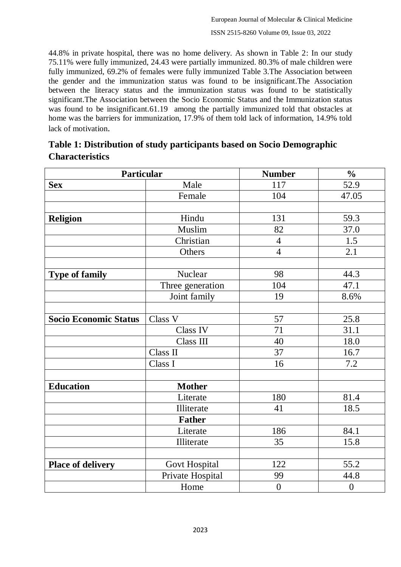44.8% in private hospital, there was no home delivery. As shown in Table 2: In our study 75.11% were fully immunized, 24.43 were partially immunized. 80.3% of male children were fully immunized, 69.2% of females were fully immunized Table 3.The Association between the gender and the immunization status was found to be insignificant.The Association between the literacy status and the immunization status was found to be statistically significant.The Association between the Socio Economic Status and the Immunization status was found to be insignificant.61.19 among the partially immunized told that obstacles at home was the barriers for immunization, 17.9% of them told lack of information, 14.9% told lack of motivation.

| Particular                   |                      | <b>Number</b>    | $\frac{0}{0}$    |  |
|------------------------------|----------------------|------------------|------------------|--|
| <b>Sex</b>                   | Male                 | 117              | 52.9             |  |
|                              | Female               | 104              | 47.05            |  |
|                              |                      |                  |                  |  |
| <b>Religion</b>              | Hindu                | 131              | 59.3             |  |
|                              | Muslim               | 82               | 37.0             |  |
|                              | Christian            | $\overline{4}$   | 1.5              |  |
|                              | Others               | $\overline{4}$   | 2.1              |  |
|                              |                      |                  |                  |  |
| <b>Type of family</b>        | Nuclear              | 98               | 44.3             |  |
|                              | Three generation     | 104              | 47.1             |  |
|                              | Joint family         | 19               | 8.6%             |  |
|                              |                      |                  |                  |  |
| <b>Socio Economic Status</b> | Class V              | 57               | 25.8             |  |
|                              | Class IV             | 71               | 31.1             |  |
|                              | Class III            | 40               | 18.0             |  |
|                              | Class II             | 37               | 16.7             |  |
|                              | Class I              | 16               | 7.2              |  |
|                              |                      |                  |                  |  |
| <b>Education</b>             | <b>Mother</b>        |                  |                  |  |
|                              | Literate             | 180              | 81.4             |  |
|                              | Illiterate           | 41               | 18.5             |  |
|                              | <b>Father</b>        |                  |                  |  |
|                              | Literate             | 186              | 84.1             |  |
|                              | Illiterate           | 35               | 15.8             |  |
|                              |                      |                  |                  |  |
| <b>Place of delivery</b>     | <b>Govt Hospital</b> | 122              | 55.2             |  |
|                              | Private Hospital     | 99               | 44.8             |  |
|                              | Home                 | $\boldsymbol{0}$ | $\boldsymbol{0}$ |  |

## **Table 1: Distribution of study participants based on Socio Demographic Characteristics**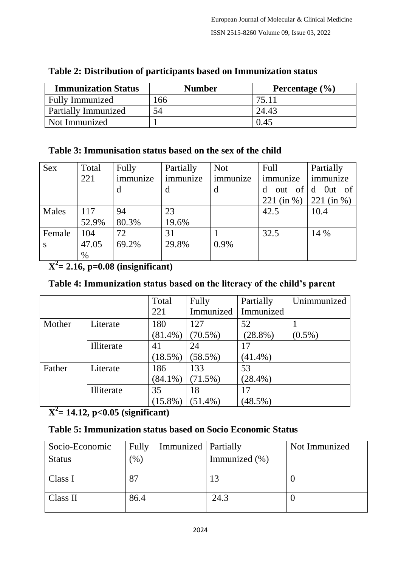| <b>Immunization Status</b> | <b>Number</b> | Percentage $(\% )$ |
|----------------------------|---------------|--------------------|
| <b>Fully Immunized</b>     | 166           | 75.11              |
| <b>Partially Immunized</b> | 54            | 24.43              |
| Not Immunized              |               | 0.45               |

# **Table 2: Distribution of participants based on Immunization status**

### **Table 3: Immunisation status based on the sex of the child**

| Sex    | Total | Fully    | Partially | <b>Not</b> | Full       | Partially       |
|--------|-------|----------|-----------|------------|------------|-----------------|
|        | 221   | immunize | immunize  | immunize   | immunize   | immunize        |
|        |       | d        |           | d          |            | out of d Out of |
|        |       |          |           |            | 221 (in %) | 221 (in $%$ )   |
| Males  | 117   | 94       | 23        |            | 42.5       | 10.4            |
|        | 52.9% | 80.3%    | 19.6%     |            |            |                 |
| Female | 104   | 72       | 31        |            | 32.5       | 14 %            |
| S      | 47.05 | 69.2%    | 29.8%     | 0.9%       |            |                 |
|        | $\%$  |          |           |            |            |                 |

**X 2 = 2.16, p=0.08 (insignificant)**

# **Table 4: Immunization status based on the literacy of the child's parent**

|        |            | Total      | Fully      | Partially  | Unimmunized |
|--------|------------|------------|------------|------------|-------------|
|        |            | 221        | Immunized  | Immunized  |             |
| Mother | Literate   | 180        | 127        | 52         |             |
|        |            | $(81.4\%)$ | $(70.5\%)$ | $(28.8\%)$ | $(0.5\%)$   |
|        | Illiterate | 41         | 24         | 17         |             |
|        |            | $(18.5\%)$ | $(58.5\%)$ | $(41.4\%)$ |             |
| Father | Literate   | 186        | 133        | 53         |             |
|        |            | $(84.1\%)$ | $(71.5\%)$ | $(28.4\%)$ |             |
|        | Illiterate | 35         | 18         | 17         |             |
|        |            | $(15.8\%)$ | $(51.4\%)$ | $(48.5\%)$ |             |

**X 2 = 14.12, p<0.05 (significant)**

## **Table 5: Immunization status based on Socio Economic Status**

| Socio-Economic | Fully  | Immunized   Partially |               | Not Immunized |
|----------------|--------|-----------------------|---------------|---------------|
| <b>Status</b>  | $(\%)$ |                       | Immunized (%) |               |
|                |        |                       |               |               |
| Class I        | 87     |                       |               |               |
|                |        |                       |               |               |
| Class II       | 86.4   |                       | 24.3          |               |
|                |        |                       |               |               |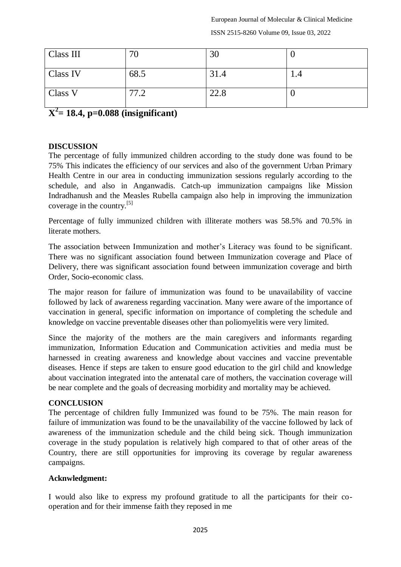European Journal of Molecular & Clinical Medicine ISSN 2515-8260 Volume 09, Issue 03, 2022

| Class III       | 70   | 30   |     |
|-----------------|------|------|-----|
| <b>Class IV</b> | 68.5 | 31.4 | 1.4 |
| Class V         | 77.2 | 22.8 | ν   |

**X 2 = 18.4, p=0.088 (insignificant)**

### **DISCUSSION**

The percentage of fully immunized children according to the study done was found to be 75% This indicates the efficiency of our services and also of the government Urban Primary Health Centre in our area in conducting immunization sessions regularly according to the schedule, and also in Anganwadis. Catch-up immunization campaigns like Mission Indradhanush and the Measles Rubella campaign also help in improving the immunization coverage in the country.[5]

Percentage of fully immunized children with illiterate mothers was 58.5% and 70.5% in literate mothers.

The association between Immunization and mother's Literacy was found to be significant. There was no significant association found between Immunization coverage and Place of Delivery, there was significant association found between immunization coverage and birth Order, Socio-economic class.

The major reason for failure of immunization was found to be unavailability of vaccine followed by lack of awareness regarding vaccination. Many were aware of the importance of vaccination in general, specific information on importance of completing the schedule and knowledge on vaccine preventable diseases other than poliomyelitis were very limited.

Since the majority of the mothers are the main caregivers and informants regarding immunization, Information Education and Communication activities and media must be harnessed in creating awareness and knowledge about vaccines and vaccine preventable diseases. Hence if steps are taken to ensure good education to the girl child and knowledge about vaccination integrated into the antenatal care of mothers, the vaccination coverage will be near complete and the goals of decreasing morbidity and mortality may be achieved.

#### **CONCLUSION**

The percentage of children fully Immunized was found to be 75%. The main reason for failure of immunization was found to be the unavailability of the vaccine followed by lack of awareness of the immunization schedule and the child being sick. Though immunization coverage in the study population is relatively high compared to that of other areas of the Country, there are still opportunities for improving its coverage by regular awareness campaigns.

#### **Acknwledgment:**

I would also like to express my profound gratitude to all the participants for their cooperation and for their immense faith they reposed in me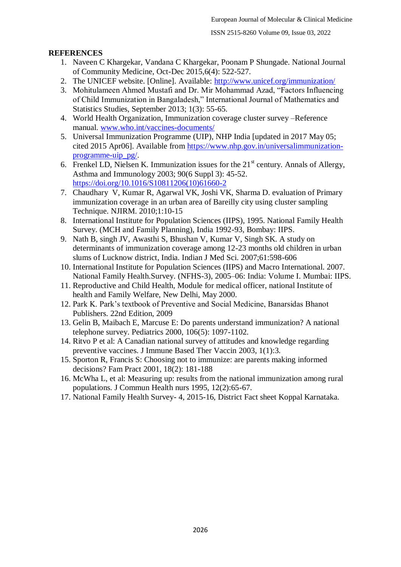#### **REFERENCES**

- 1. Naveen C Khargekar, Vandana C Khargekar, Poonam P Shungade. National Journal of Community Medicine, Oct-Dec 2015,6(4): 522-527.
- 2. The UNICEF website. [Online]. Available:<http://www.unicef.org/immunization/>
- 3. Mohitulameen Ahmed Mustafi and Dr. Mir Mohammad Azad, "Factors Influencing of Child Immunization in Bangaladesh," International Journal of Mathematics and Statistics Studies, September 2013; 1(3): 55-65.
- 4. World Health Organization, Immunization coverage cluster survey –Reference manual. [www.who.int/vaccines-documents/](http://www.who.int/vaccines-documents/)
- 5. Universal Immunization Programme (UIP), NHP India [updated in 2017 May 05; cited 2015 Apr06]. Available from [https://www.nhp.gov.in/universalimmunization](https://www.nhp.gov.in/universalimmunization-programme-uip_pg/)[programme-uip\\_pg/.](https://www.nhp.gov.in/universalimmunization-programme-uip_pg/)
- 6. Frenkel LD, Nielsen K. Immunization issues for the  $21<sup>st</sup>$  century. Annals of Allergy, Asthma and Immunology 2003; 90(6 Suppl 3): 45-52. [https://doi.org/10.1016/S10811206\(10\)61660-2](https://doi.org/10.1016/S10811206(10)61660-2)
- 7. Chaudhary V, Kumar R, Agarwal VK, Joshi VK, Sharma D. evaluation of Primary immunization coverage in an urban area of Bareilly city using cluster sampling Technique. NJIRM. 2010;1:10-15
- 8. International Institute for Population Sciences (IIPS), 1995. National Family Health Survey. (MCH and Family Planning), India 1992-93, Bombay: IIPS.
- 9. Nath B, singh JV, Awasthi S, Bhushan V, Kumar V, Singh SK. A study on determinants of immunization coverage among 12-23 months old children in urban slums of Lucknow district, India. Indian J Med Sci. 2007;61:598-606
- 10. International Institute for Population Sciences (IIPS) and Macro International. 2007. National Family Health.Survey. (NFHS-3), 2005–06: India: Volume I. Mumbai: IIPS.
- 11. Reproductive and Child Health, Module for medical officer, national Institute of health and Family Welfare, New Delhi, May 2000.
- 12. Park K. Park's textbook of Preventive and Social Medicine, Banarsidas Bhanot Publishers. 22nd Edition, 2009
- 13. Gelin B, Maibach E, Marcuse E: Do parents understand immunization? A national telephone survey. Pediatrics 2000, 106(5): 1097-1102.
- 14. Ritvo P et al: A Canadian national survey of attitudes and knowledge regarding preventive vaccines. J Immune Based Ther Vaccin 2003, 1(1):3.
- 15. Sporton R, Francis S: Choosing not to immunize: are parents making informed decisions? Fam Pract 2001, 18(2): 181-188
- 16. McWha L, et al: Measuring up: results from the national immunization among rural populations. J Commun Health nurs 1995, 12(2):65-67.
- 17. National Family Health Survey- 4, 2015-16, District Fact sheet Koppal Karnataka.